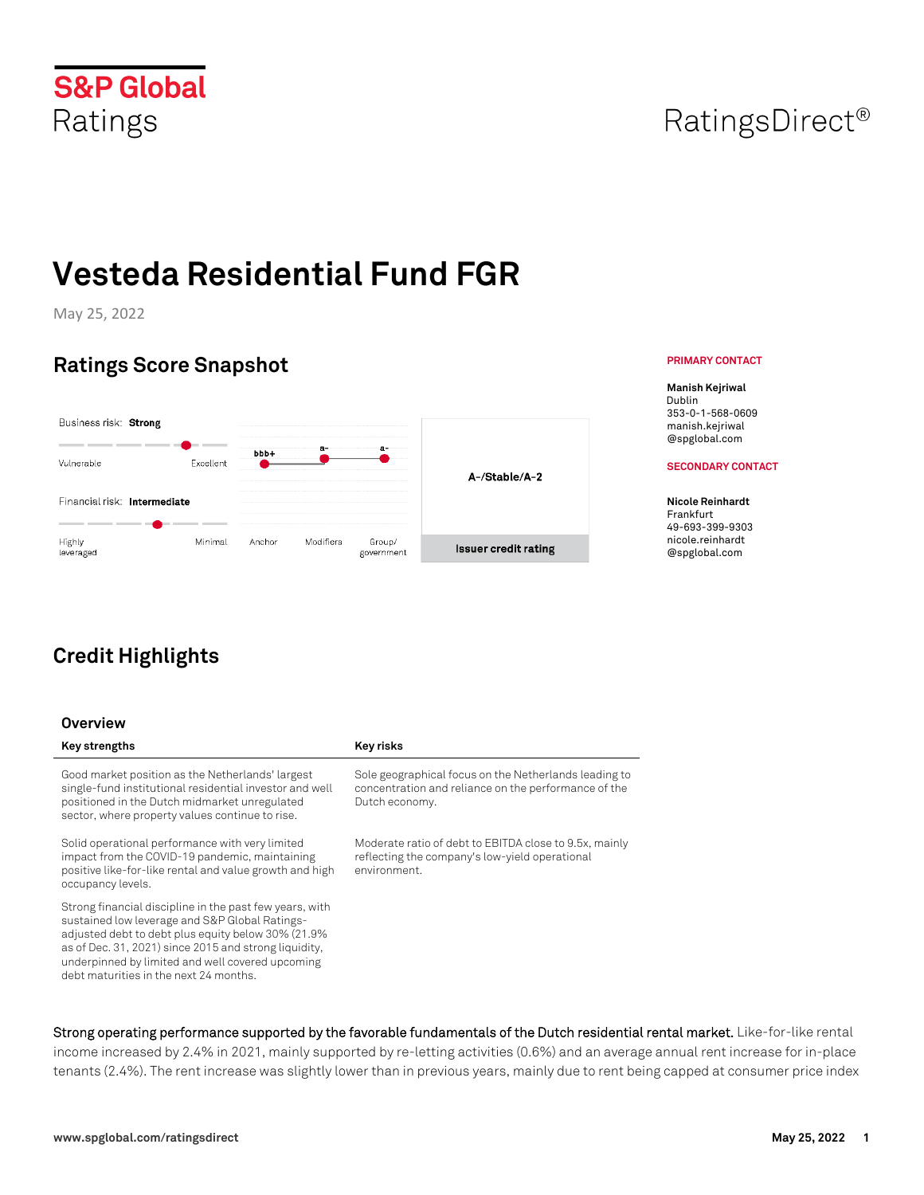# **S&P Global** Ratings

# **Vesteda Residential Fund FGR**

May 25, 2022

# **Ratings Score Snapshot**



# **Credit Highlights**

### **Overview**

Good market position as the Netherlands' largest single-fund institutional residential investor and well positioned in the Dutch midmarket unregulated sector, where property values continue to rise.

Solid operational performance with very limited impact from the COVID-19 pandemic, maintaining positive like-for-like rental and value growth and high occupancy levels.

Strong financial discipline in the past few years, with sustained low leverage and S&P Global Ratingsadjusted debt to debt plus equity below 30% (21.9% as of Dec. 31, 2021) since 2015 and strong liquidity, underpinned by limited and well covered upcoming debt maturities in the next 24 months.

#### Key strengths **Key risks Key risks**

Sole geographical focus on the Netherlands leading to concentration and reliance on the performance of the Dutch economy.

Moderate ratio of debt to EBITDA close to 9.5x, mainly reflecting the company's low-yield operational environment.

**Strong operating performance supported by the favorable fundamentals of the Dutch residential rental market.** Like-for-like rental income increased by 2.4% in 2021, mainly supported by re-letting activities (0.6%) and an average annual rent increase for in-place tenants (2.4%). The rent increase was slightly lower than in previous years, mainly due to rent being capped at consumer price index

### **PRIMARY CONTACT**

**Manish Kejriwal** Dublin 353-0-1-568-0609 manish.kejriwal @spglobal.com

#### **SECONDARY CONTACT**

**Nicole Reinhardt**  Frankfurt 49-693-399-9303 nicole.reinhardt @spglobal.com

# RatingsDirect<sup>®</sup>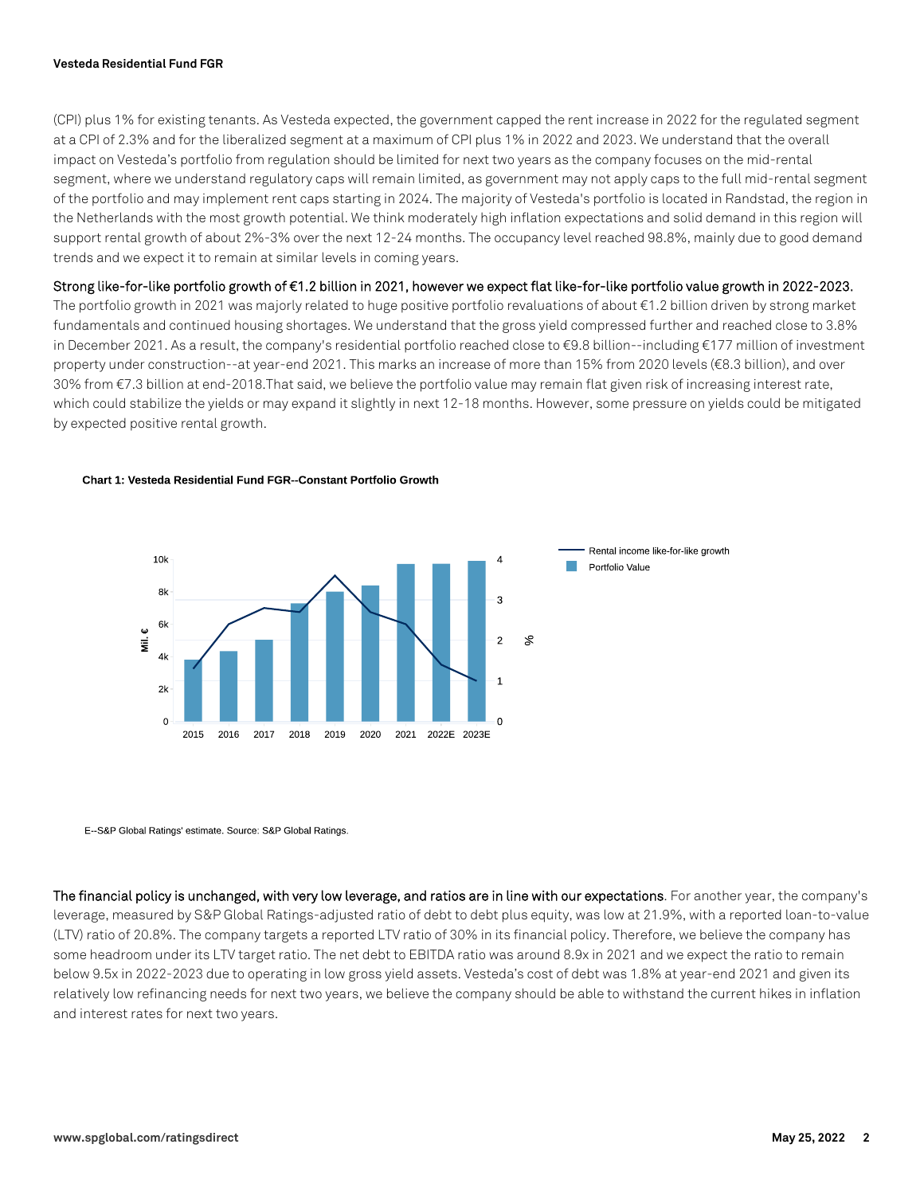#### **Vesteda Residential Fund FGR**

(CPI) plus 1% for existing tenants. As Vesteda expected, the government capped the rent increase in 2022 for the regulated segment at a CPI of 2.3% and for the liberalized segment at a maximum of CPI plus 1% in 2022 and 2023. We understand that the overall impact on Vesteda's portfolio from regulation should be limited for next two years as the company focuses on the mid-rental segment, where we understand regulatory caps will remain limited, as government may not apply caps to the full mid-rental segment of the portfolio and may implement rent caps starting in 2024. The majority of Vesteda's portfolio is located in Randstad, the region in the Netherlands with the most growth potential. We think moderately high inflation expectations and solid demand in this region will support rental growth of about 2%-3% over the next 12-24 months. The occupancy level reached 98.8%, mainly due to good demand trends and we expect it to remain at similar levels in coming years.

**Strong like-for-like portfolio growth of €1.2 billion in 2021, however we expect flat like-for-like portfolio value growth in 2022-2023.** 

The portfolio growth in 2021 was majorly related to huge positive portfolio revaluations of about €1.2 billion driven by strong market fundamentals and continued housing shortages. We understand that the gross yield compressed further and reached close to 3.8% in December 2021. As a result, the company's residential portfolio reached close to €9.8 billion--including €177 million of investment property under construction--at year-end 2021. This marks an increase of more than 15% from 2020 levels (€8.3 billion), and over 30% from €7.3 billion at end-2018.That said, we believe the portfolio value may remain flat given risk of increasing interest rate, which could stabilize the yields or may expand it slightly in next 12-18 months. However, some pressure on yields could be mitigated by expected positive rental growth.

#### Chart 1: Vesteda Residential Fund FGR--Constant Portfolio Growth



E-S&P Global Ratings' estimate. Source: S&P Global Ratings.

**The financial policy is unchanged, with very low leverage, and ratios are in line with our expectations**. For another year, the company's leverage, measured by S&P Global Ratings-adjusted ratio of debt to debt plus equity, was low at 21.9%, with a reported loan-to-value (LTV) ratio of 20.8%. The company targets a reported LTV ratio of 30% in its financial policy. Therefore, we believe the company has some headroom under its LTV target ratio. The net debt to EBITDA ratio was around 8.9x in 2021 and we expect the ratio to remain below 9.5x in 2022-2023 due to operating in low gross yield assets. Vesteda's cost of debt was 1.8% at year-end 2021 and given its relatively low refinancing needs for next two years, we believe the company should be able to withstand the current hikes in inflation and interest rates for next two years.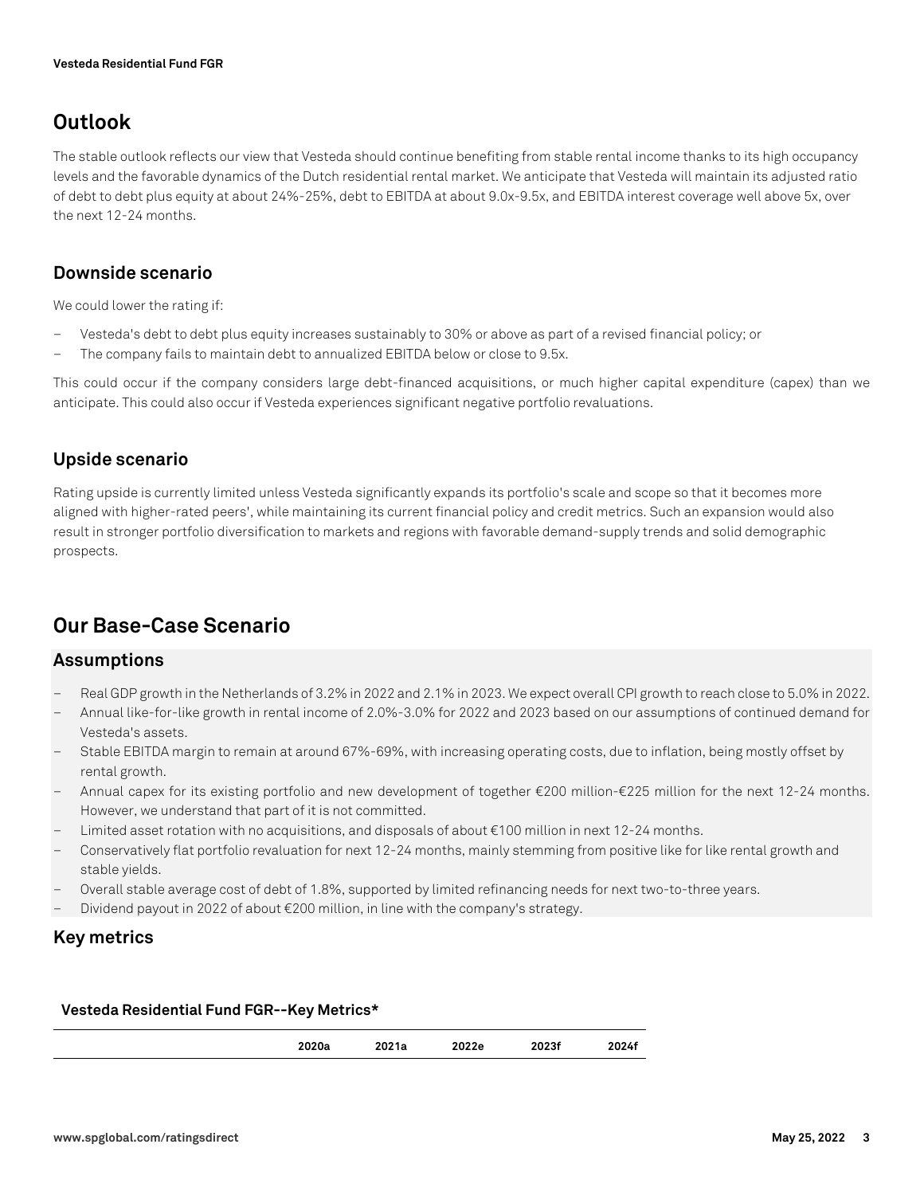# **Outlook**

The stable outlook reflects our view that Vesteda should continue benefiting from stable rental income thanks to its high occupancy levels and the favorable dynamics of the Dutch residential rental market. We anticipate that Vesteda will maintain its adjusted ratio of debt to debt plus equity at about 24%-25%, debt to EBITDA at about 9.0x-9.5x, and EBITDA interest coverage well above 5x, over the next 12-24 months.

# **Downside scenario**

We could lower the rating if:

- Vesteda's debt to debt plus equity increases sustainably to 30% or above as part of a revised financial policy; or
- The company fails to maintain debt to annualized EBITDA below or close to 9.5x.

This could occur if the company considers large debt-financed acquisitions, or much higher capital expenditure (capex) than we anticipate. This could also occur if Vesteda experiences significant negative portfolio revaluations.

# **Upside scenario**

Rating upside is currently limited unless Vesteda significantly expands its portfolio's scale and scope so that it becomes more aligned with higher-rated peers', while maintaining its current financial policy and credit metrics. Such an expansion would also result in stronger portfolio diversification to markets and regions with favorable demand-supply trends and solid demographic prospects.

# **Our Base-Case Scenario**

### **Assumptions**

- Real GDP growth in the Netherlands of 3.2% in 2022 and 2.1% in 2023. We expect overall CPI growth to reach close to 5.0% in 2022.
- Annual like-for-like growth in rental income of 2.0%-3.0% for 2022 and 2023 based on our assumptions of continued demand for Vesteda's assets.
- Stable EBITDA margin to remain at around 67%-69%, with increasing operating costs, due to inflation, being mostly offset by rental growth.
- Annual capex for its existing portfolio and new development of together €200 million-€225 million for the next 12-24 months. However, we understand that part of it is not committed.
- Limited asset rotation with no acquisitions, and disposals of about €100 million in next 12-24 months.
- Conservatively flat portfolio revaluation for next 12-24 months, mainly stemming from positive like for like rental growth and stable yields.
- Overall stable average cost of debt of 1.8%, supported by limited refinancing needs for next two-to-three years.
- Dividend payout in 2022 of about €200 million, in line with the company's strategy.

### **Key metrics**

#### **Vesteda Residential Fund FGR--Key Metrics\***

|  | ----<br>2020a | <br>2021a | 2022e | 2023f<br>----- | 2024f |
|--|---------------|-----------|-------|----------------|-------|
|--|---------------|-----------|-------|----------------|-------|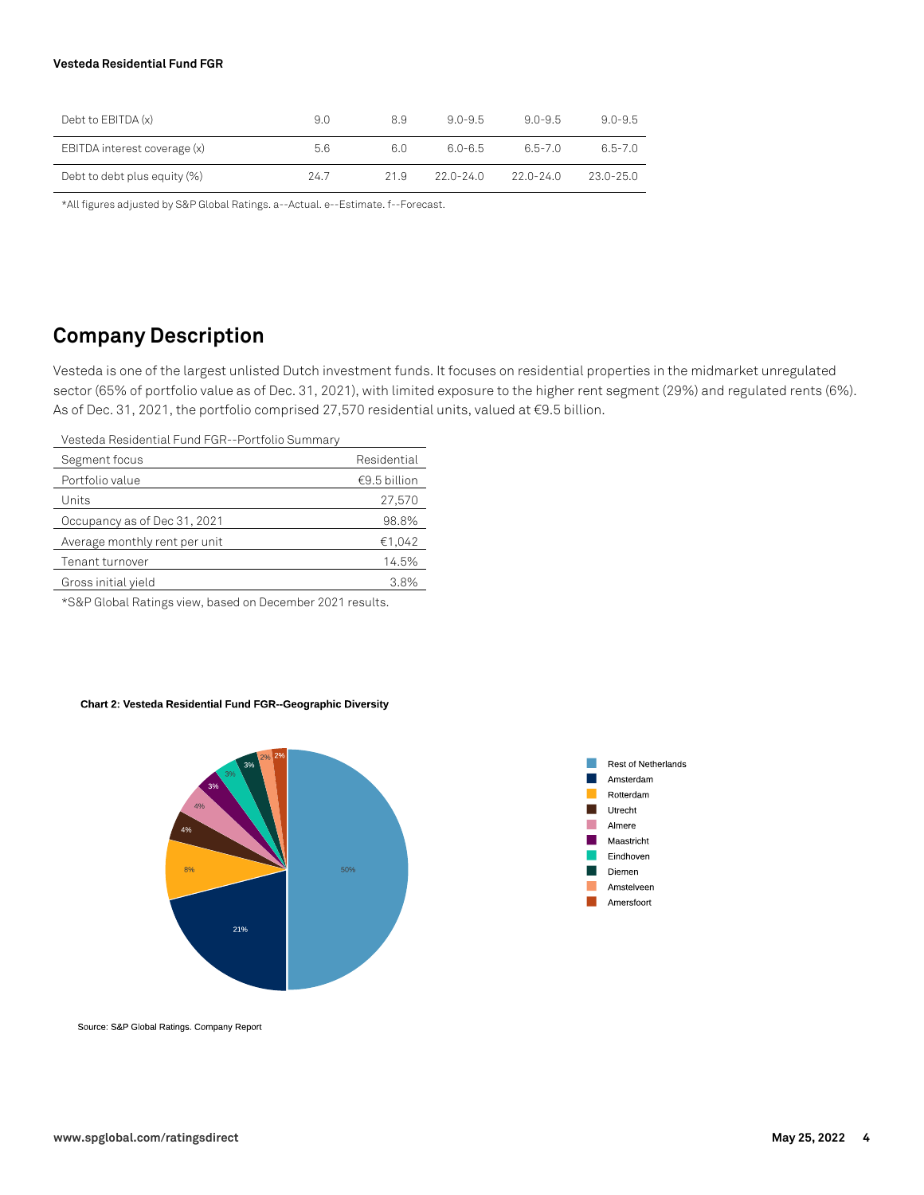#### **Vesteda Residential Fund FGR**

| Debt to $EBITDA(x)$          | 9.0  | 8.9  | $90 - 95$     | $90 - 95$     | $9.0 - 9.5$ |
|------------------------------|------|------|---------------|---------------|-------------|
| EBITDA interest coverage (x) | 5.6  | 6.0  | 60-65         | 65-70         | $6.5 - 7.0$ |
| Debt to debt plus equity (%) | 24.7 | 21.9 | $22.0 - 24.0$ | $22.0 - 24.0$ | 23.0-25.0   |

\*All figures adjusted by S&P Global Ratings. a--Actual. e--Estimate. f--Forecast.

# **Company Description**

Vesteda is one of the largest unlisted Dutch investment funds. It focuses on residential properties in the midmarket unregulated sector (65% of portfolio value as of Dec. 31, 2021), with limited exposure to the higher rent segment (29%) and regulated rents (6%). As of Dec. 31, 2021, the portfolio comprised 27,570 residential units, valued at €9.5 billion.

Vesteda Residential Fund FGR--Portfolio Summary

| Segment focus                 | Residential  |
|-------------------------------|--------------|
| Portfolio value               | €9.5 billion |
| Units                         | 27,570       |
| Occupancy as of Dec 31, 2021  | 98.8%        |
| Average monthly rent per unit | €1,042       |
| Tenant turnover               | 14.5%        |
| Gross initial yield           | 3.8%         |
|                               |              |

\*S&P Global Ratings view, based on December 2021 results.

#### Chart 2: Vesteda Residential Fund FGR--Geographic Diversity





Source: S&P Global Ratings. Company Report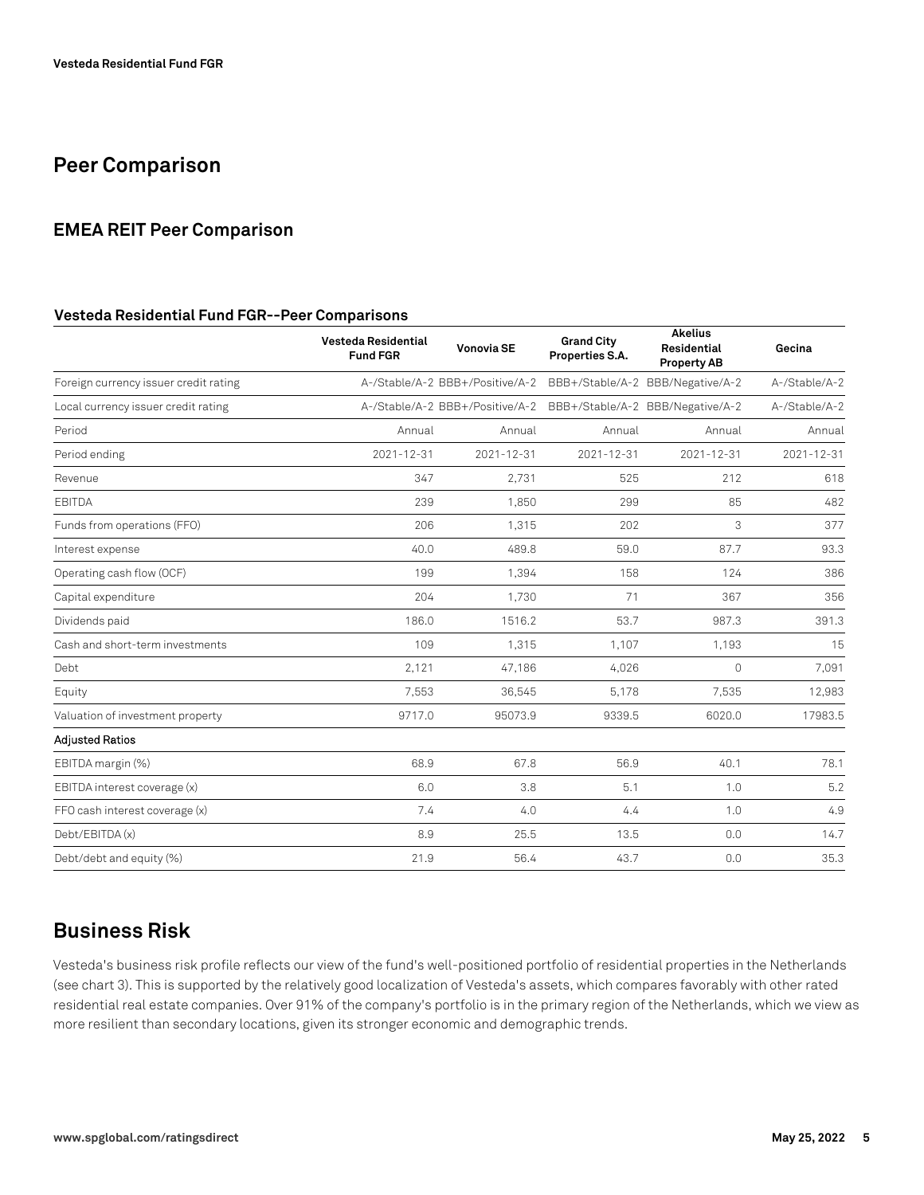# **Peer Comparison**

### **EMEA REIT Peer Comparison**

#### **Vesteda Residential Fund FGR--Peer Comparisons**

|                                       | Vesteda Residential<br><b>Fund FGR</b> | <b>Vonovia SE</b>               | <b>Grand City</b><br>Properties S.A. | <b>Akelius</b><br>Residential<br><b>Property AB</b> | Gecina        |
|---------------------------------------|----------------------------------------|---------------------------------|--------------------------------------|-----------------------------------------------------|---------------|
| Foreign currency issuer credit rating |                                        | A-/Stable/A-2 BBB+/Positive/A-2 |                                      | BBB+/Stable/A-2 BBB/Negative/A-2                    | A-/Stable/A-2 |
| Local currency issuer credit rating   |                                        | A-/Stable/A-2 BBB+/Positive/A-2 |                                      | BBB+/Stable/A-2 BBB/Negative/A-2                    | A-/Stable/A-2 |
| Period                                | Annual                                 | Annual                          | Annual                               | Annual                                              | Annual        |
| Period ending                         | 2021-12-31                             | 2021-12-31                      | 2021-12-31                           | $2021 - 12 - 31$                                    | 2021-12-31    |
| Revenue                               | 347                                    | 2.731                           | 525                                  | 212                                                 | 618           |
| EBITDA                                | 239                                    | 1,850                           | 299                                  | 85                                                  | 482           |
| Funds from operations (FFO)           | 206                                    | 1,315                           | 202                                  | 3                                                   | 377           |
| Interest expense                      | 40.0                                   | 489.8                           | 59.0                                 | 87.7                                                | 93.3          |
| Operating cash flow (OCF)             | 199                                    | 1.394                           | 158                                  | 124                                                 | 386           |
| Capital expenditure                   | 204                                    | 1,730                           | 71                                   | 367                                                 | 356           |
| Dividends paid                        | 186.0                                  | 1516.2                          | 53.7                                 | 987.3                                               | 391.3         |
| Cash and short-term investments       | 109                                    | 1,315                           | 1,107                                | 1,193                                               | 15            |
| Debt                                  | 2,121                                  | 47,186                          | 4,026                                | $\Omega$                                            | 7,091         |
| Equity                                | 7,553                                  | 36,545                          | 5,178                                | 7,535                                               | 12,983        |
| Valuation of investment property      | 9717.0                                 | 95073.9                         | 9339.5                               | 6020.0                                              | 17983.5       |
| <b>Adjusted Ratios</b>                |                                        |                                 |                                      |                                                     |               |
| EBITDA margin (%)                     | 68.9                                   | 67.8                            | 56.9                                 | 40.1                                                | 78.1          |
| EBITDA interest coverage (x)          | 6.0                                    | 3.8                             | 5.1                                  | 1.0                                                 | 5.2           |
| FFO cash interest coverage (x)        | 7.4                                    | 4.0                             | 4.4                                  | 1.0                                                 | 4.9           |
| Debt/EBITDA (x)                       | 8.9                                    | 25.5                            | 13.5                                 | 0.0                                                 | 14.7          |
| Debt/debt and equity (%)              | 21.9                                   | 56.4                            | 43.7                                 | 0.0                                                 | 35.3          |

# **Business Risk**

Vesteda's business risk profile reflects our view of the fund's well-positioned portfolio of residential properties in the Netherlands (see chart 3). This is supported by the relatively good localization of Vesteda's assets, which compares favorably with other rated residential real estate companies. Over 91% of the company's portfolio is in the primary region of the Netherlands, which we view as more resilient than secondary locations, given its stronger economic and demographic trends.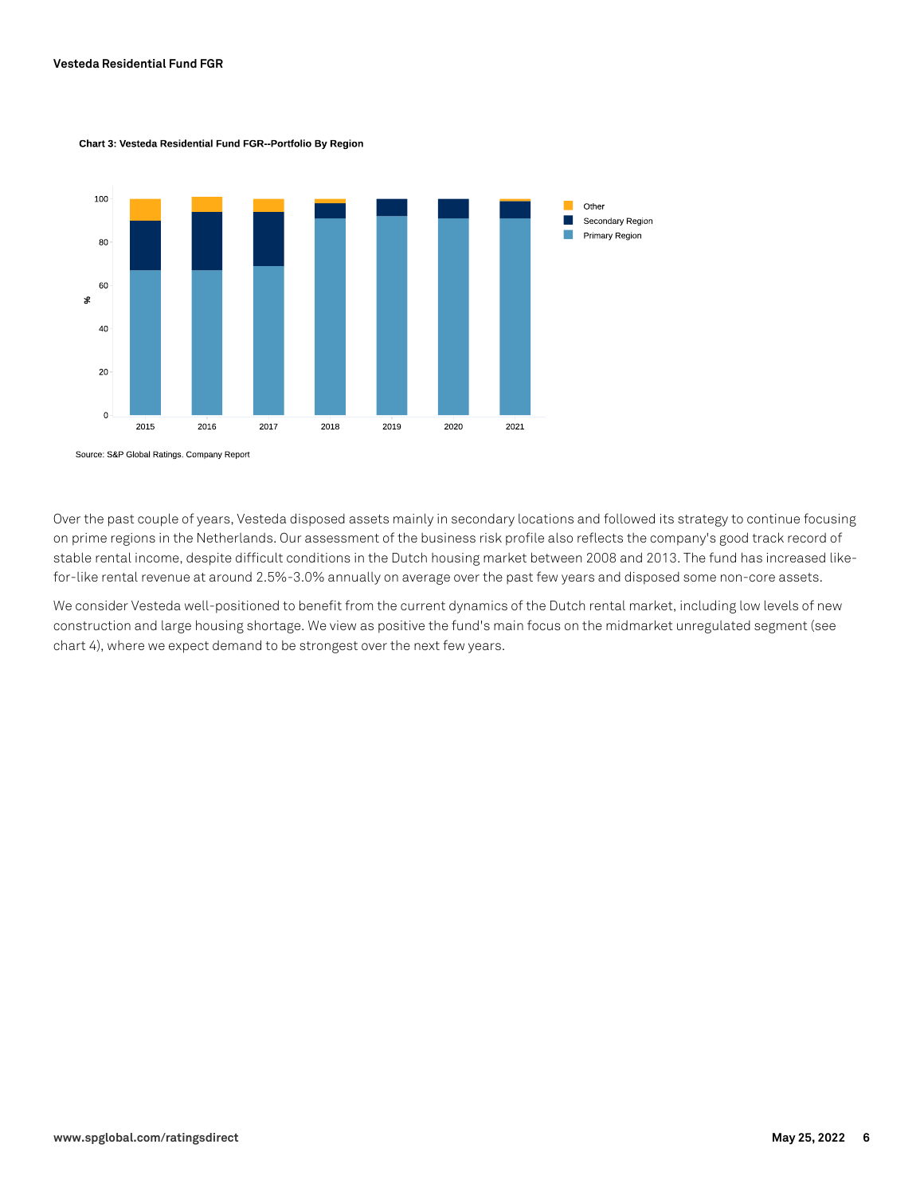

#### Chart 3: Vesteda Residential Fund FGR-Portfolio By Region

Over the past couple of years, Vesteda disposed assets mainly in secondary locations and followed its strategy to continue focusing on prime regions in the Netherlands. Our assessment of the business risk profile also reflects the company's good track record of stable rental income, despite difficult conditions in the Dutch housing market between 2008 and 2013. The fund has increased like-

We consider Vesteda well-positioned to benefit from the current dynamics of the Dutch rental market, including low levels of new construction and large housing shortage. We view as positive the fund's main focus on the midmarket unregulated segment (see chart 4), where we expect demand to be strongest over the next few years.

for-like rental revenue at around 2.5%-3.0% annually on average over the past few years and disposed some non-core assets.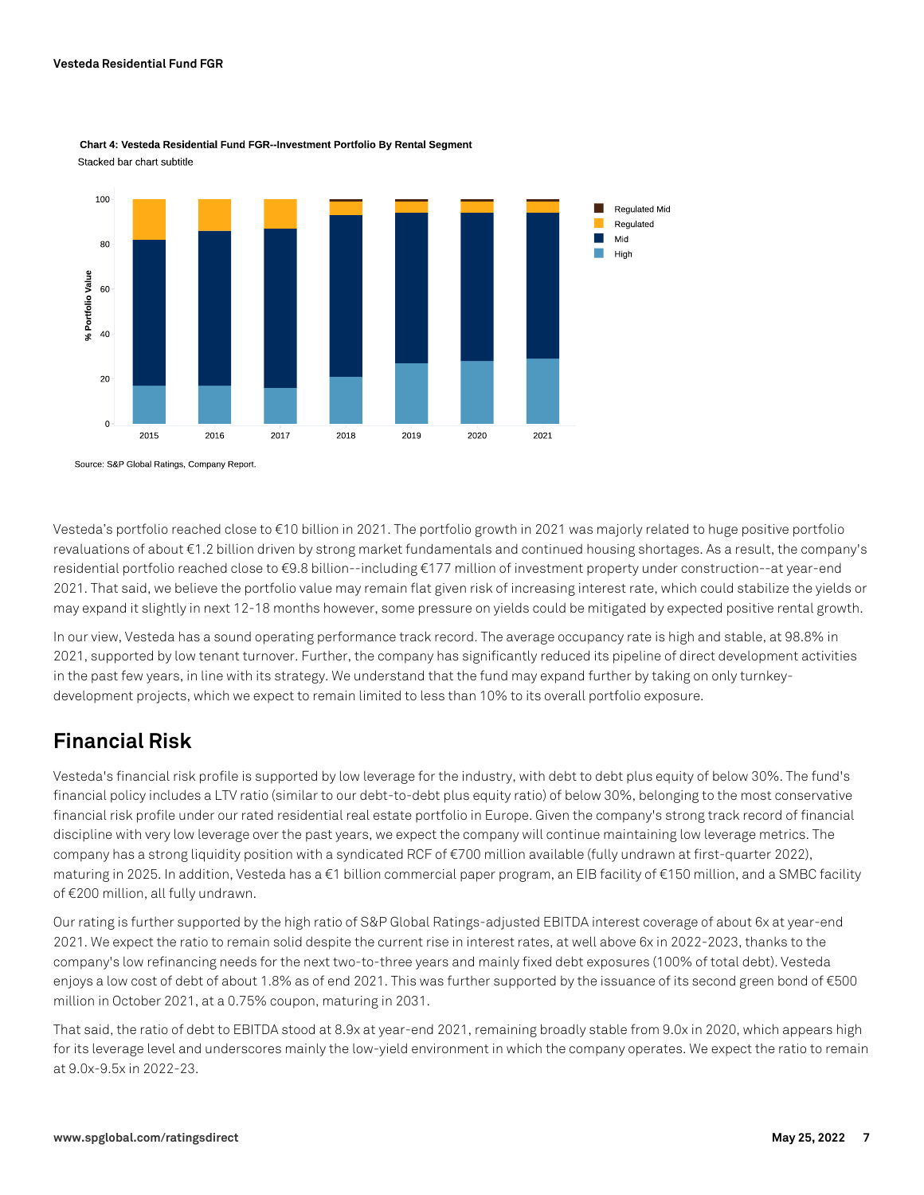

Chart 4: Vesteda Residential Fund FGR-Investment Portfolio By Rental Segment Stacked bar chart subtitle

Source: S&P Global Ratings, Company Report.

Vesteda's portfolio reached close to €10 billion in 2021. The portfolio growth in 2021 was majorly related to huge positive portfolio revaluations of about €1.2 billion driven by strong market fundamentals and continued housing shortages. As a result, the company's residential portfolio reached close to €9.8 billion--including €177 million of investment property under construction--at year-end 2021. That said, we believe the portfolio value may remain flat given risk of increasing interest rate, which could stabilize the yields or may expand it slightly in next 12-18 months however, some pressure on yields could be mitigated by expected positive rental growth.

In our view, Vesteda has a sound operating performance track record. The average occupancy rate is high and stable, at 98.8% in 2021, supported by low tenant turnover. Further, the company has significantly reduced its pipeline of direct development activities in the past few years, in line with its strategy. We understand that the fund may expand further by taking on only turnkeydevelopment projects, which we expect to remain limited to less than 10% to its overall portfolio exposure.

# **Financial Risk**

Vesteda's financial risk profile is supported by low leverage for the industry, with debt to debt plus equity of below 30%. The fund's financial policy includes a LTV ratio (similar to our debt-to-debt plus equity ratio) of below 30%, belonging to the most conservative financial risk profile under our rated residential real estate portfolio in Europe. Given the company's strong track record of financial discipline with very low leverage over the past years, we expect the company will continue maintaining low leverage metrics. The company has a strong liquidity position with a syndicated RCF of €700 million available (fully undrawn at first-quarter 2022), maturing in 2025. In addition, Vesteda has a €1 billion commercial paper program, an EIB facility of €150 million, and a SMBC facility of €200 million, all fully undrawn.

Our rating is further supported by the high ratio of S&P Global Ratings-adjusted EBITDA interest coverage of about 6x at year-end 2021. We expect the ratio to remain solid despite the current rise in interest rates, at well above 6x in 2022-2023, thanks to the company's low refinancing needs for the next two-to-three years and mainly fixed debt exposures (100% of total debt). Vesteda enjoys a low cost of debt of about 1.8% as of end 2021. This was further supported by the issuance of its second green bond of €500 million in October 2021, at a 0.75% coupon, maturing in 2031.

That said, the ratio of debt to EBITDA stood at 8.9x at year-end 2021, remaining broadly stable from 9.0x in 2020, which appears high for its leverage level and underscores mainly the low-yield environment in which the company operates. We expect the ratio to remain at 9.0x-9.5x in 2022-23.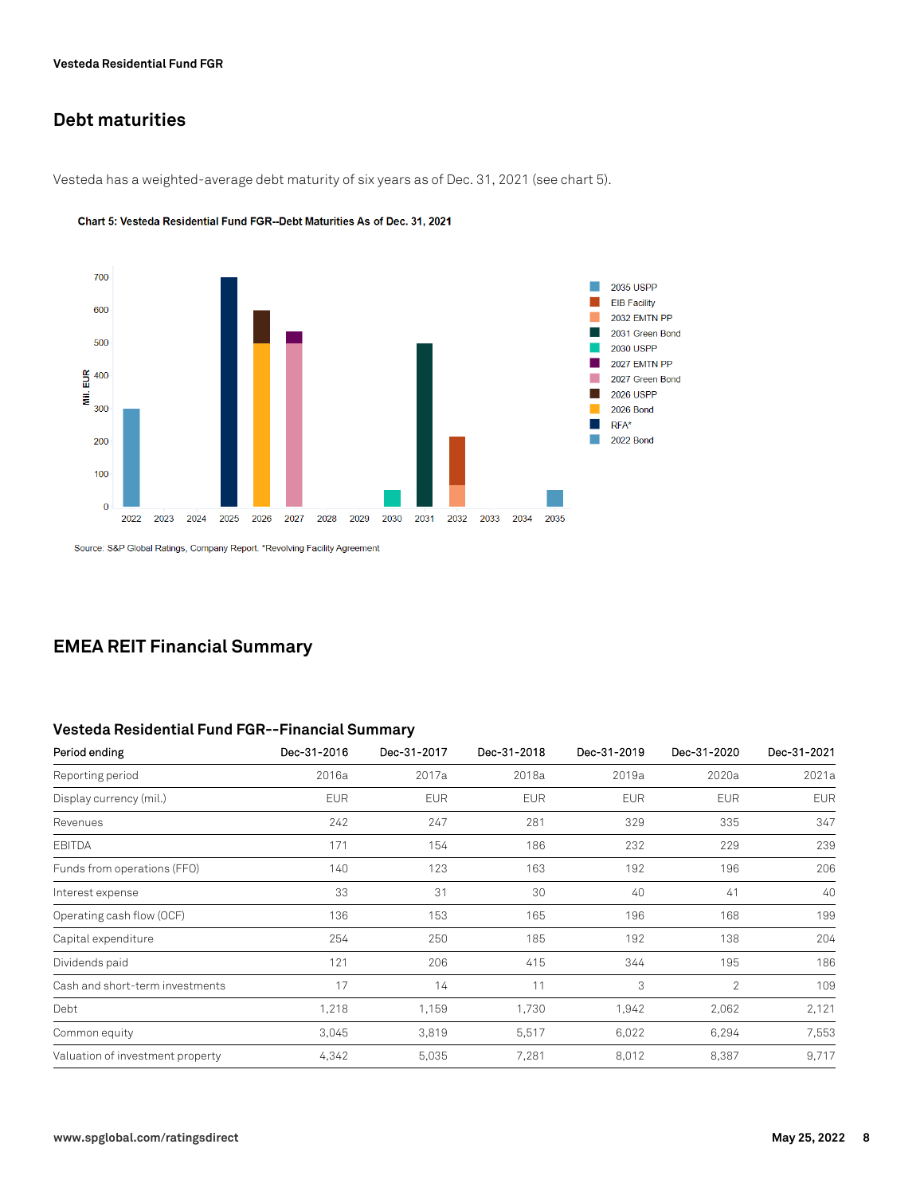# **Debt maturities**

Vesteda has a weighted-average debt maturity of six years as of Dec. 31, 2021 (see chart 5).



Chart 5: Vesteda Residential Fund FGR--Debt Maturities As of Dec. 31, 2021

Source: S&P Global Ratings, Company Report. \*Revolving Facility Agreement

## **EMEA REIT Financial Summary**

#### **Vesteda Residential Fund FGR--Financial Summary**

| Period ending                    | Dec-31-2016 | Dec-31-2017 | Dec-31-2018 | Dec-31-2019 | Dec-31-2020    | Dec-31-2021 |
|----------------------------------|-------------|-------------|-------------|-------------|----------------|-------------|
| Reporting period                 | 2016a       | 2017a       | 2018a       | 2019a       | 2020a          | 2021a       |
| Display currency (mil.)          | <b>EUR</b>  | <b>EUR</b>  | <b>EUR</b>  | <b>EUR</b>  | <b>EUR</b>     | <b>EUR</b>  |
| Revenues                         | 242         | 247         | 281         | 329         | 335            | 347         |
| <b>EBITDA</b>                    | 171         | 154         | 186         | 232         | 229            | 239         |
| Funds from operations (FFO)      | 140         | 123         | 163         | 192         | 196            | 206         |
| Interest expense                 | 33          | 31          | 30          | 40          | 41             | 40          |
| Operating cash flow (OCF)        | 136         | 153         | 165         | 196         | 168            | 199         |
| Capital expenditure              | 254         | 250         | 185         | 192         | 138            | 204         |
| Dividends paid                   | 121         | 206         | 415         | 344         | 195            | 186         |
| Cash and short-term investments  | 17          | 14          | 11          | 3           | $\overline{2}$ | 109         |
| Debt                             | 1,218       | 1,159       | 1,730       | 1,942       | 2,062          | 2,121       |
| Common equity                    | 3,045       | 3,819       | 5,517       | 6,022       | 6,294          | 7,553       |
| Valuation of investment property | 4,342       | 5,035       | 7,281       | 8,012       | 8,387          | 9,717       |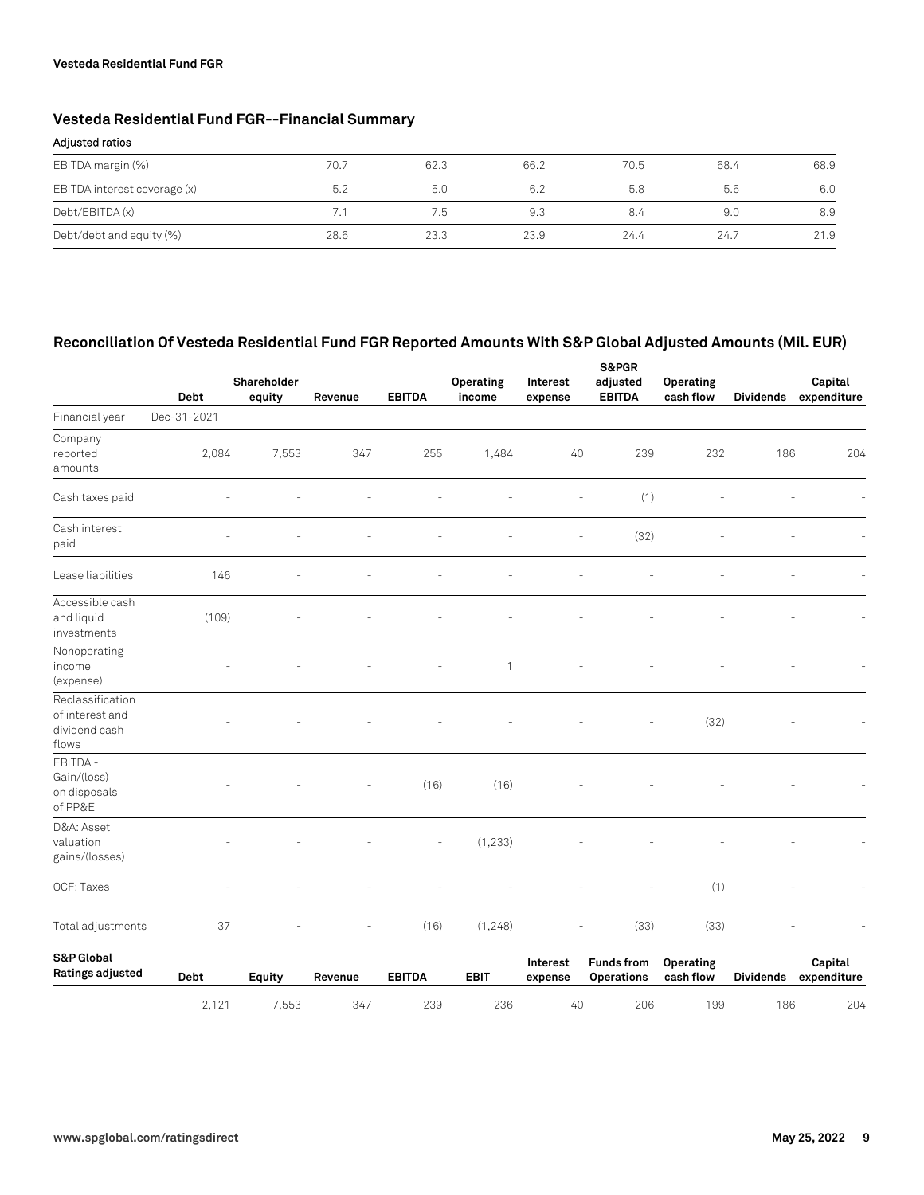#### **Vesteda Residential Fund FGR**

# **Vesteda Residential Fund FGR--Financial Summary**

#### **Adjusted ratios**

| EBITDA margin (%)            | 70.7 | 62.3 | 66.2 | 70.5 | 68.4 | 68.9 |
|------------------------------|------|------|------|------|------|------|
| EBITDA interest coverage (x) | 5.2  | 5.0  | 6.2  | 5.8  | 5.6  | 6.0  |
| Debt/EBITDA (x)              |      | 7.5  | 9.3  | 8.4  | 9.0  | 8.9  |
| Debt/debt and equity (%)     | 28.6 | 23.3 | 23.9 | 24.4 | 24.7 | 21.9 |

### **Reconciliation Of Vesteda Residential Fund FGR Reported Amounts With S&P Global Adjusted Amounts (Mil. EUR)**

|                                                               | <b>Debt</b> | Shareholder<br>equity | Revenue | <b>EBITDA</b> | Operating<br>income | Interest<br>expense | S&PGR<br>adjusted<br><b>EBITDA</b>     | Operating<br>cash flow | <b>Dividends</b> | Capital<br>expenditure |
|---------------------------------------------------------------|-------------|-----------------------|---------|---------------|---------------------|---------------------|----------------------------------------|------------------------|------------------|------------------------|
| Financial year                                                | Dec-31-2021 |                       |         |               |                     |                     |                                        |                        |                  |                        |
| Company<br>reported<br>amounts                                | 2,084       | 7,553                 | 347     | 255           | 1,484               | 40                  | 239                                    | 232                    | 186              | 204                    |
| Cash taxes paid                                               |             |                       |         |               |                     | L,                  | (1)                                    |                        |                  |                        |
| Cash interest<br>paid                                         |             |                       |         |               |                     |                     | (32)                                   |                        |                  |                        |
| Lease liabilities                                             | 146         |                       |         |               |                     |                     |                                        |                        |                  |                        |
| Accessible cash<br>and liquid<br>investments                  | (109)       |                       |         |               |                     |                     |                                        |                        |                  |                        |
| Nonoperating<br>income<br>(expense)                           |             |                       |         |               | 1                   |                     |                                        |                        |                  |                        |
| Reclassification<br>of interest and<br>dividend cash<br>flows |             |                       |         |               |                     |                     |                                        | (32)                   |                  |                        |
| EBITDA -<br>Gain/(loss)<br>on disposals<br>of PP&E            |             |                       |         | (16)          | (16)                |                     |                                        |                        |                  |                        |
| D&A: Asset<br>valuation<br>gains/(losses)                     |             |                       |         |               | (1, 233)            |                     |                                        |                        |                  |                        |
| OCF: Taxes                                                    |             |                       |         |               |                     |                     |                                        | (1)                    |                  |                        |
| Total adjustments                                             | 37          |                       |         | (16)          | (1,248)             |                     | (33)                                   | (33)                   |                  |                        |
| S&P Global<br>Ratings adjusted                                | Debt        | Equity                | Revenue | <b>EBITDA</b> | <b>EBIT</b>         | Interest<br>expense | <b>Funds from</b><br><b>Operations</b> | Operating<br>cash flow | <b>Dividends</b> | Capital<br>expenditure |
|                                                               | 2,121       | 7,553                 | 347     | 239           | 236                 | 40                  | 206                                    | 199                    | 186              | 204                    |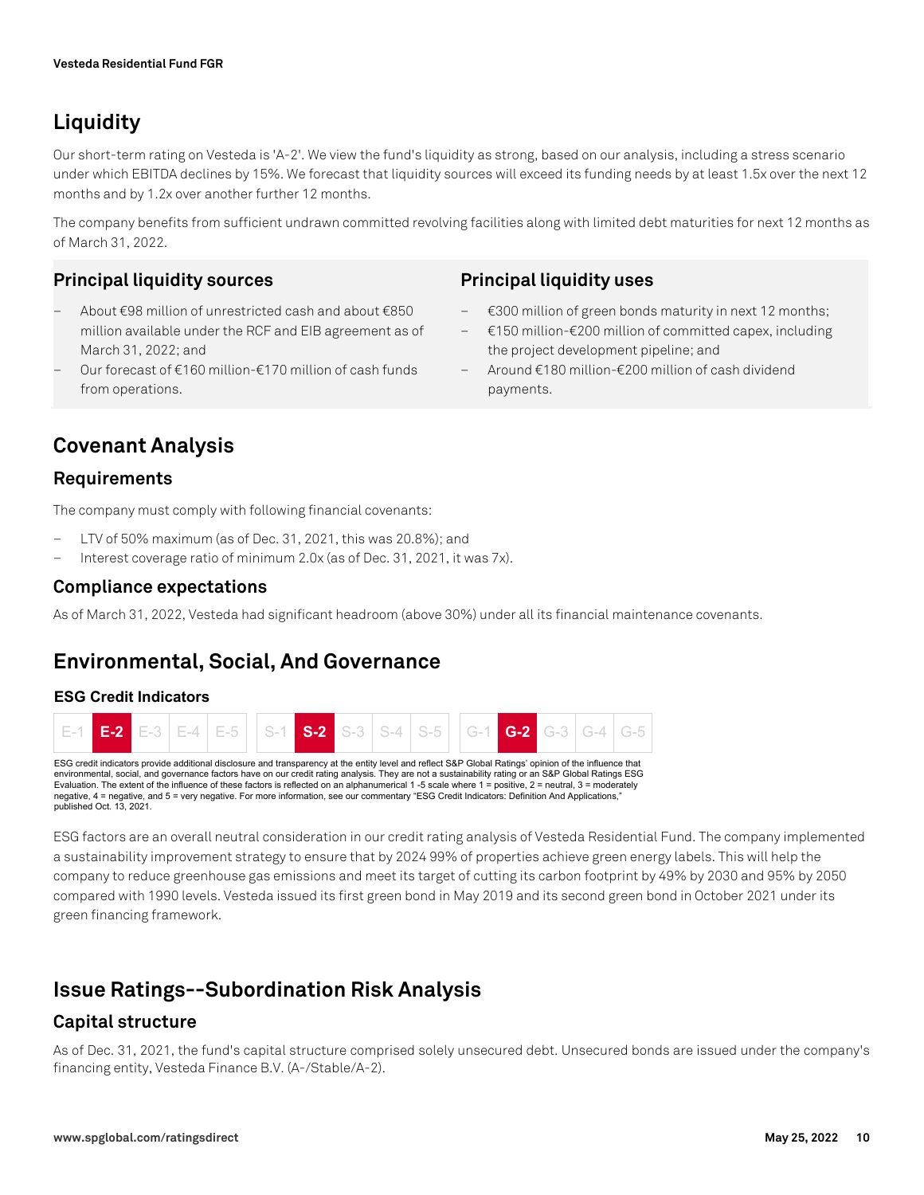# **Liquidity**

Our short-term rating on Vesteda is 'A-2'. We view the fund's liquidity as strong, based on our analysis, including a stress scenario under which EBITDA declines by 15%. We forecast that liquidity sources will exceed its funding needs by at least 1.5x over the next 12 months and by 1.2x over another further 12 months.

The company benefits from sufficient undrawn committed revolving facilities along with limited debt maturities for next 12 months as of March 31, 2022.

# **Principal liquidity sources**

- About €98 million of unrestricted cash and about €850 million available under the RCF and EIB agreement as of March 31, 2022; and
- Our forecast of €160 million-€170 million of cash funds from operations.

### **Principal liquidity uses**

- €300 million of green bonds maturity in next 12 months;
- €150 million-€200 million of committed capex, including the project development pipeline; and
- Around €180 million-€200 million of cash dividend payments.

# **Covenant Analysis**

### **Requirements**

The company must comply with following financial covenants:

- LTV of 50% maximum (as of Dec. 31, 2021, this was 20.8%); and
- Interest coverage ratio of minimum 2.0x (as of Dec. 31, 2021, it was 7x).

### **Compliance expectations**

As of March 31, 2022, Vesteda had significant headroom (above 30%) under all its financial maintenance covenants.

# **Environmental, Social, And Governance**

### **ESG Credit Indicators**



Evaluation. The extent of the influence of these factors is reflected on an alphanumerical 1 -5 scale where 1 = positive, 2 = neutral, 3 = moderately negative, 4 = negative, and 5 = very negative. For more information, see our commentary "ESG Credit Indicators: Definition And Applications, published Oct. 13, 2021.

ESG factors are an overall neutral consideration in our credit rating analysis of Vesteda Residential Fund. The company implemented a sustainability improvement strategy to ensure that by 2024 99% of properties achieve green energy labels. This will help the company to reduce greenhouse gas emissions and meet its target of cutting its carbon footprint by 49% by 2030 and 95% by 2050 compared with 1990 levels. Vesteda issued its first green bond in May 2019 and its second green bond in October 2021 under its green financing framework.

# **Issue Ratings--Subordination Risk Analysis**

### **Capital structure**

As of Dec. 31, 2021, the fund's capital structure comprised solely unsecured debt. Unsecured bonds are issued under the company's financing entity, Vesteda Finance B.V. (A-/Stable/A-2).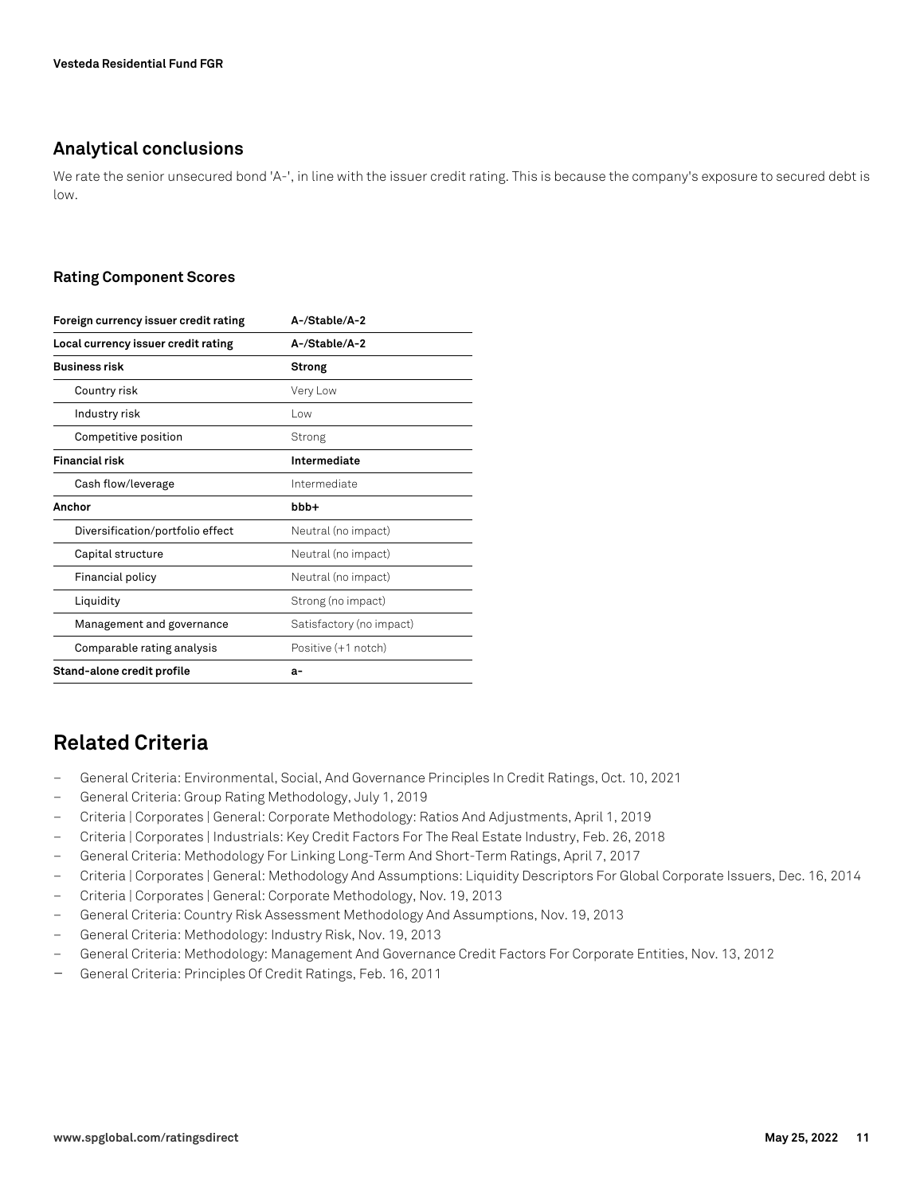### **Analytical conclusions**

We rate the senior unsecured bond 'A-', in line with the issuer credit rating. This is because the company's exposure to secured debt is low.

#### **Rating Component Scores**

| A-/Stable/A-2            |  |  |  |  |
|--------------------------|--|--|--|--|
| A-/Stable/A-2            |  |  |  |  |
| <b>Strong</b>            |  |  |  |  |
| Very Low                 |  |  |  |  |
| l ow                     |  |  |  |  |
| Strong                   |  |  |  |  |
| Intermediate             |  |  |  |  |
| Intermediate             |  |  |  |  |
| bbb+                     |  |  |  |  |
| Neutral (no impact)      |  |  |  |  |
| Neutral (no impact)      |  |  |  |  |
| Neutral (no impact)      |  |  |  |  |
| Strong (no impact)       |  |  |  |  |
| Satisfactory (no impact) |  |  |  |  |
| Positive (+1 notch)      |  |  |  |  |
| а-                       |  |  |  |  |
|                          |  |  |  |  |

# **Related Criteria**

- General Criteria: Environmental, Social, And Governance Principles In Credit Ratings, Oct. 10, 2021
- General Criteria: Group Rating Methodology, July 1, 2019
- Criteria | Corporates | General: Corporate Methodology: Ratios And Adjustments, April 1, 2019
- Criteria | Corporates | Industrials: Key Credit Factors For The Real Estate Industry, Feb. 26, 2018
- General Criteria: Methodology For Linking Long-Term And Short-Term Ratings, April 7, 2017
- Criteria | Corporates | General: Methodology And Assumptions: Liquidity Descriptors For Global Corporate Issuers, Dec. 16, 2014
- Criteria | Corporates | General: Corporate Methodology, Nov. 19, 2013
- General Criteria: Country Risk Assessment Methodology And Assumptions, Nov. 19, 2013
- General Criteria: Methodology: Industry Risk, Nov. 19, 2013
- General Criteria: Methodology: Management And Governance Credit Factors For Corporate Entities, Nov. 13, 2012
- General Criteria: Principles Of Credit Ratings, Feb. 16, 2011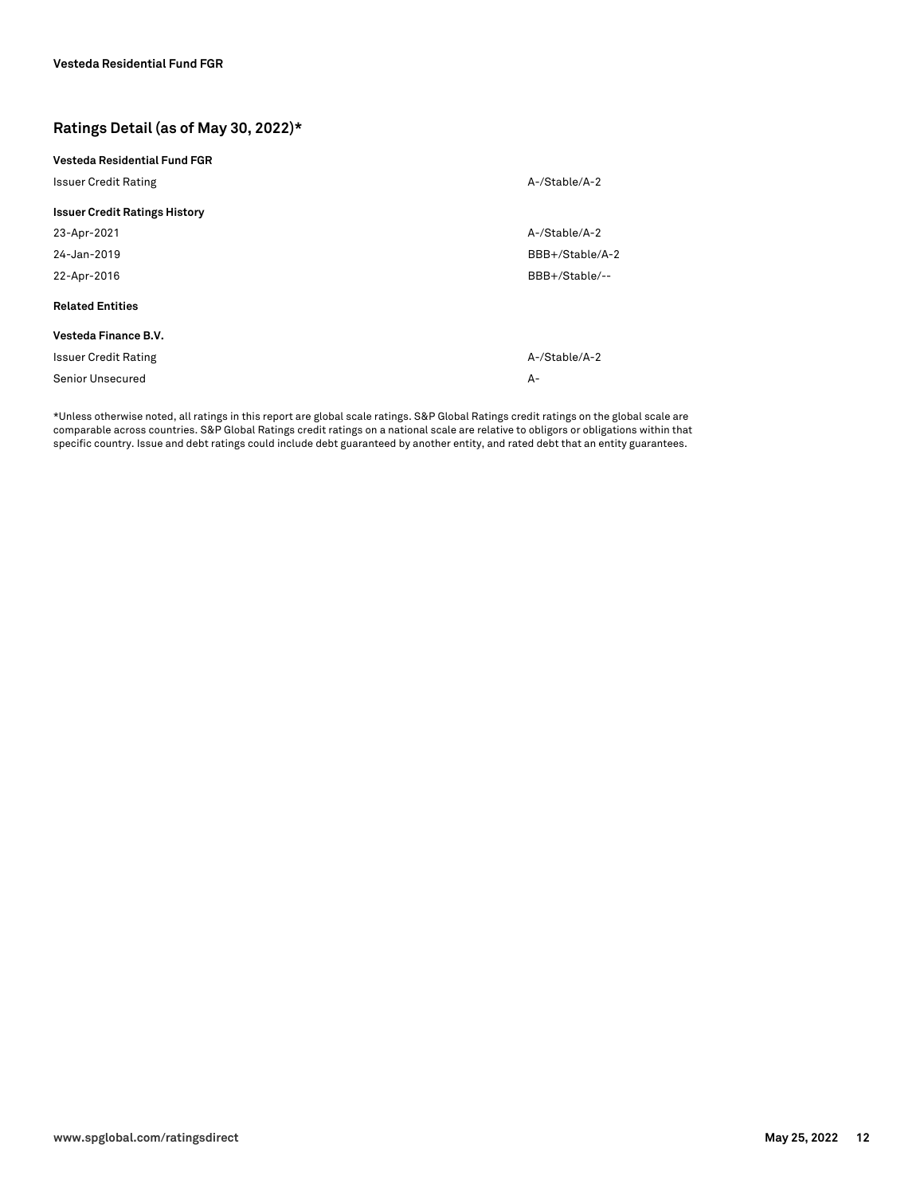### **Ratings Detail (as of May 30, 2022)\***

| Vesteda Residential Fund FGR         |                 |
|--------------------------------------|-----------------|
| <b>Issuer Credit Rating</b>          | A-/Stable/A-2   |
| <b>Issuer Credit Ratings History</b> |                 |
| 23-Apr-2021                          | A-/Stable/A-2   |
| 24-Jan-2019                          | BBB+/Stable/A-2 |
| 22-Apr-2016                          | BBB+/Stable/--  |
| <b>Related Entities</b>              |                 |
| Vesteda Finance B.V.                 |                 |
| <b>Issuer Credit Rating</b>          | A-/Stable/A-2   |
| Senior Unsecured                     | А-              |

\*Unless otherwise noted, all ratings in this report are global scale ratings. S&P Global Ratings credit ratings on the global scale are comparable across countries. S&P Global Ratings credit ratings on a national scale are relative to obligors or obligations within that specific country. Issue and debt ratings could include debt guaranteed by another entity, and rated debt that an entity guarantees.